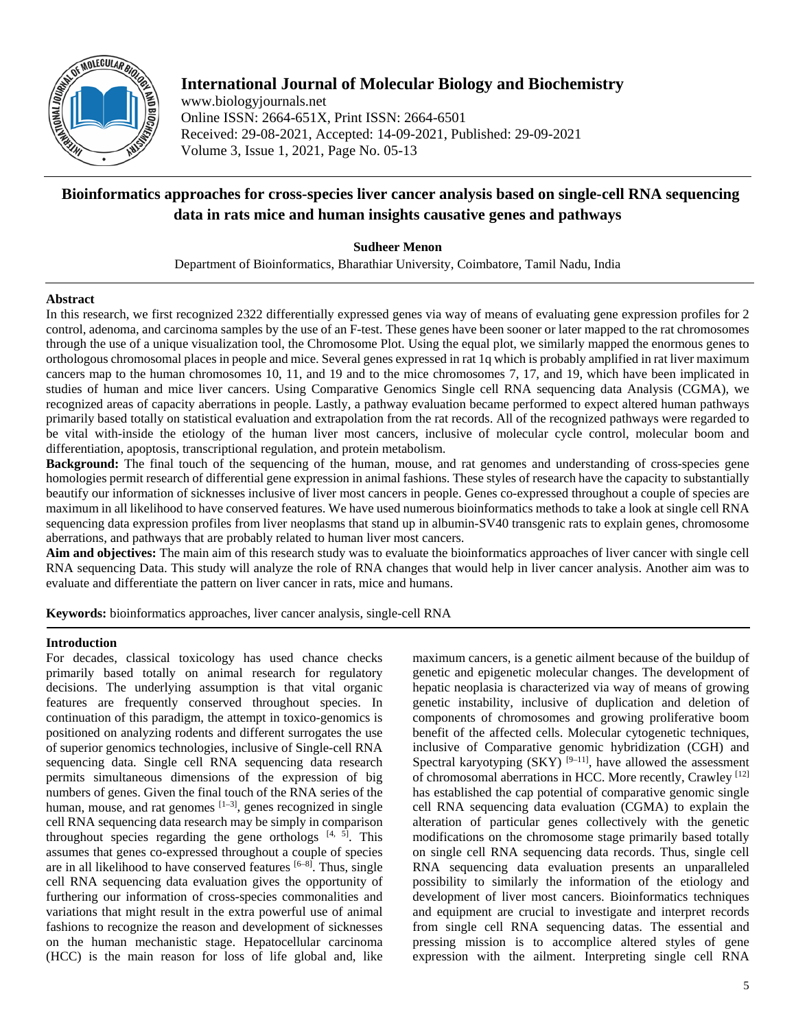

# **International Journal of Molecular Biology and Biochemistry**

www.biologyjournals.net Online ISSN: 2664-651X, Print ISSN: 2664-6501 Received: 29-08-2021, Accepted: 14-09-2021, Published: 29-09-2021 Volume 3, Issue 1, 2021, Page No. 05-13

# **Bioinformatics approaches for cross-species liver cancer analysis based on single-cell RNA sequencing data in rats mice and human insights causative genes and pathways**

**Sudheer Menon**

Department of Bioinformatics, Bharathiar University, Coimbatore, Tamil Nadu, India

### **Abstract**

In this research, we first recognized 2322 differentially expressed genes via way of means of evaluating gene expression profiles for 2 control, adenoma, and carcinoma samples by the use of an F-test. These genes have been sooner or later mapped to the rat chromosomes through the use of a unique visualization tool, the Chromosome Plot. Using the equal plot, we similarly mapped the enormous genes to orthologous chromosomal places in people and mice. Several genes expressed in rat 1q which is probably amplified in rat liver maximum cancers map to the human chromosomes 10, 11, and 19 and to the mice chromosomes 7, 17, and 19, which have been implicated in studies of human and mice liver cancers. Using Comparative Genomics Single cell RNA sequencing data Analysis (CGMA), we recognized areas of capacity aberrations in people. Lastly, a pathway evaluation became performed to expect altered human pathways primarily based totally on statistical evaluation and extrapolation from the rat records. All of the recognized pathways were regarded to be vital with-inside the etiology of the human liver most cancers, inclusive of molecular cycle control, molecular boom and differentiation, apoptosis, transcriptional regulation, and protein metabolism.

**Background:** The final touch of the sequencing of the human, mouse, and rat genomes and understanding of cross-species gene homologies permit research of differential gene expression in animal fashions. These styles of research have the capacity to substantially beautify our information of sicknesses inclusive of liver most cancers in people. Genes co-expressed throughout a couple of species are maximum in all likelihood to have conserved features. We have used numerous bioinformatics methods to take a look at single cell RNA sequencing data expression profiles from liver neoplasms that stand up in albumin-SV40 transgenic rats to explain genes, chromosome aberrations, and pathways that are probably related to human liver most cancers.

**Aim and objectives:** The main aim of this research study was to evaluate the bioinformatics approaches of liver cancer with single cell RNA sequencing Data. This study will analyze the role of RNA changes that would help in liver cancer analysis. Another aim was to evaluate and differentiate the pattern on liver cancer in rats, mice and humans.

**Keywords:** bioinformatics approaches, liver cancer analysis, single-cell RNA

## **Introduction**

For decades, classical toxicology has used chance checks primarily based totally on animal research for regulatory decisions. The underlying assumption is that vital organic features are frequently conserved throughout species. In continuation of this paradigm, the attempt in toxico-genomics is positioned on analyzing rodents and different surrogates the use of superior genomics technologies, inclusive of Single-cell RNA sequencing data. Single cell RNA sequencing data research permits simultaneous dimensions of the expression of big numbers of genes. Given the final touch of the RNA series of the human, mouse, and rat genomes  $[1-3]$ , genes recognized in single cell RNA sequencing data research may be simply in comparison throughout species regarding the gene orthologs  $[4, 5]$ . This assumes that genes co-expressed throughout a couple of species are in all likelihood to have conserved features  $[6-8]$ . Thus, single cell RNA sequencing data evaluation gives the opportunity of furthering our information of cross-species commonalities and variations that might result in the extra powerful use of animal fashions to recognize the reason and development of sicknesses on the human mechanistic stage. Hepatocellular carcinoma (HCC) is the main reason for loss of life global and, like

maximum cancers, is a genetic ailment because of the buildup of genetic and epigenetic molecular changes. The development of hepatic neoplasia is characterized via way of means of growing genetic instability, inclusive of duplication and deletion of components of chromosomes and growing proliferative boom benefit of the affected cells. Molecular cytogenetic techniques, inclusive of Comparative genomic hybridization (CGH) and Spectral karyotyping  $(SKY)$ <sup>[9–11]</sup>, have allowed the assessment of chromosomal aberrations in HCC. More recently, Crawley [12] has established the cap potential of comparative genomic single cell RNA sequencing data evaluation (CGMA) to explain the alteration of particular genes collectively with the genetic modifications on the chromosome stage primarily based totally on single cell RNA sequencing data records. Thus, single cell RNA sequencing data evaluation presents an unparalleled possibility to similarly the information of the etiology and development of liver most cancers. Bioinformatics techniques and equipment are crucial to investigate and interpret records from single cell RNA sequencing datas. The essential and pressing mission is to accomplice altered styles of gene expression with the ailment. Interpreting single cell RNA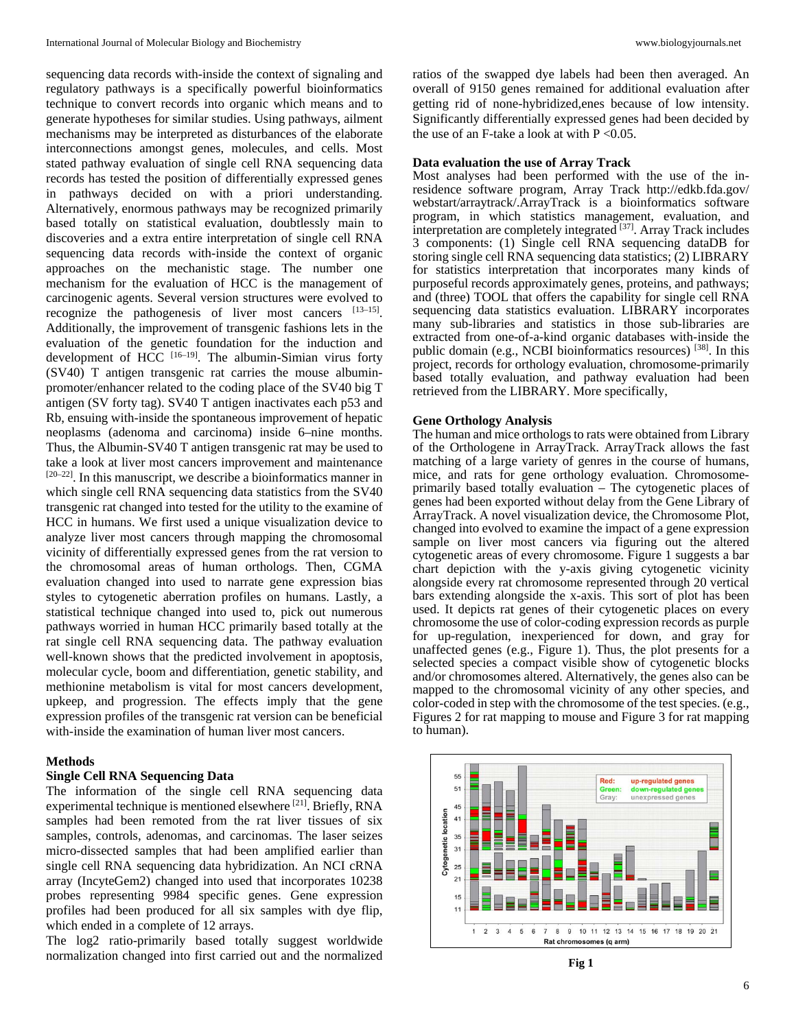sequencing data records with-inside the context of signaling and regulatory pathways is a specifically powerful bioinformatics technique to convert records into organic which means and to generate hypotheses for similar studies. Using pathways, ailment mechanisms may be interpreted as disturbances of the elaborate interconnections amongst genes, molecules, and cells. Most stated pathway evaluation of single cell RNA sequencing data records has tested the position of differentially expressed genes in pathways decided on with a priori understanding. Alternatively, enormous pathways may be recognized primarily based totally on statistical evaluation, doubtlessly main to discoveries and a extra entire interpretation of single cell RNA sequencing data records with-inside the context of organic approaches on the mechanistic stage. The number one mechanism for the evaluation of HCC is the management of carcinogenic agents. Several version structures were evolved to recognize the pathogenesis of liver most cancers [13–15]. Additionally, the improvement of transgenic fashions lets in the evaluation of the genetic foundation for the induction and development of HCC [16-19]. The albumin-Simian virus forty (SV40) T antigen transgenic rat carries the mouse albuminpromoter/enhancer related to the coding place of the SV40 big T antigen (SV forty tag). SV40 T antigen inactivates each p53 and Rb, ensuing with-inside the spontaneous improvement of hepatic neoplasms (adenoma and carcinoma) inside 6–nine months. Thus, the Albumin-SV40 T antigen transgenic rat may be used to take a look at liver most cancers improvement and maintenance  $[20-22]$ . In this manuscript, we describe a bioinformatics manner in which single cell RNA sequencing data statistics from the SV40 transgenic rat changed into tested for the utility to the examine of HCC in humans. We first used a unique visualization device to analyze liver most cancers through mapping the chromosomal vicinity of differentially expressed genes from the rat version to the chromosomal areas of human orthologs. Then, CGMA evaluation changed into used to narrate gene expression bias styles to cytogenetic aberration profiles on humans. Lastly, a statistical technique changed into used to, pick out numerous pathways worried in human HCC primarily based totally at the rat single cell RNA sequencing data. The pathway evaluation well-known shows that the predicted involvement in apoptosis, molecular cycle, boom and differentiation, genetic stability, and methionine metabolism is vital for most cancers development, upkeep, and progression. The effects imply that the gene expression profiles of the transgenic rat version can be beneficial with-inside the examination of human liver most cancers.

#### **Methods**

#### **Single Cell RNA Sequencing Data**

The information of the single cell RNA sequencing data experimental technique is mentioned elsewhere [21]. Briefly, RNA samples had been remoted from the rat liver tissues of six samples, controls, adenomas, and carcinomas. The laser seizes micro-dissected samples that had been amplified earlier than single cell RNA sequencing data hybridization. An NCI cRNA array (IncyteGem2) changed into used that incorporates 10238 probes representing 9984 specific genes. Gene expression profiles had been produced for all six samples with dye flip, which ended in a complete of 12 arrays.

The log2 ratio-primarily based totally suggest worldwide normalization changed into first carried out and the normalized

ratios of the swapped dye labels had been then averaged. An overall of 9150 genes remained for additional evaluation after getting rid of none-hybridized,enes because of low intensity. Significantly differentially expressed genes had been decided by the use of an F-take a look at with  $P < 0.05$ .

#### **Data evaluation the use of Array Track**

Most analyses had been performed with the use of the inresidence software program, Array Track http://edkb.fda.gov/ webstart/arraytrack/.ArrayTrack is a bioinformatics software program, in which statistics management, evaluation, and interpretation are completely integrated <sup>[37]</sup>. Array Track includes 3 components: (1) Single cell RNA sequencing dataDB for storing single cell RNA sequencing data statistics; (2) LIBRARY for statistics interpretation that incorporates many kinds of purposeful records approximately genes, proteins, and pathways; and (three) TOOL that offers the capability for single cell RNA sequencing data statistics evaluation. LIBRARY incorporates many sub-libraries and statistics in those sub-libraries are extracted from one-of-a-kind organic databases with-inside the public domain (e.g., NCBI bioinformatics resources) [38]. In this project, records for orthology evaluation, chromosome-primarily based totally evaluation, and pathway evaluation had been retrieved from the LIBRARY. More specifically,

#### **Gene Orthology Analysis**

The human and mice orthologs to rats were obtained from Library of the Orthologene in ArrayTrack. ArrayTrack allows the fast matching of a large variety of genres in the course of humans, mice, and rats for gene orthology evaluation. Chromosomeprimarily based totally evaluation – The cytogenetic places of genes had been exported without delay from the Gene Library of ArrayTrack. A novel visualization device, the Chromosome Plot, changed into evolved to examine the impact of a gene expression sample on liver most cancers via figuring out the altered cytogenetic areas of every chromosome. Figure 1 suggests a bar chart depiction with the y-axis giving cytogenetic vicinity alongside every rat chromosome represented through 20 vertical bars extending alongside the x-axis. This sort of plot has been used. It depicts rat genes of their cytogenetic places on every chromosome the use of color-coding expression records as purple for up-regulation, inexperienced for down, and gray for unaffected genes (e.g., Figure 1). Thus, the plot presents for a selected species a compact visible show of cytogenetic blocks and/or chromosomes altered. Alternatively, the genes also can be mapped to the chromosomal vicinity of any other species, and color-coded in step with the chromosome of the test species. (e.g., Figures 2 for rat mapping to mouse and Figure 3 for rat mapping to human).



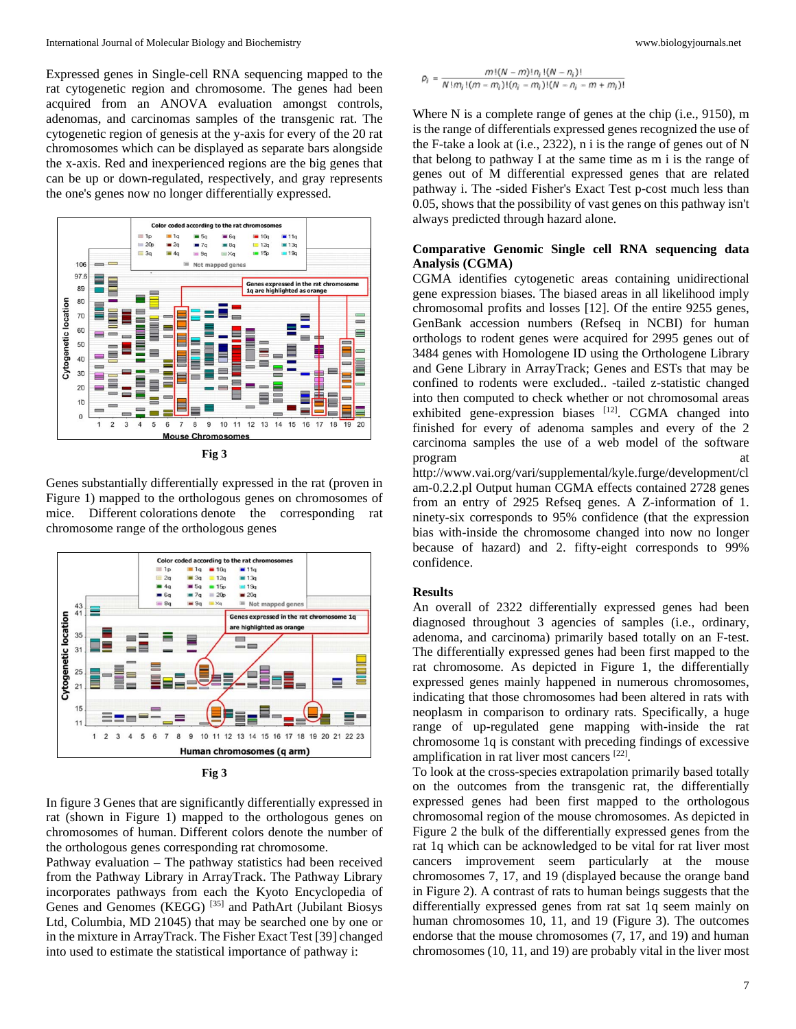Expressed genes in Single-cell RNA sequencing mapped to the rat cytogenetic region and chromosome. The genes had been acquired from an ANOVA evaluation amongst controls, adenomas, and carcinomas samples of the transgenic rat. The cytogenetic region of genesis at the y-axis for every of the 20 rat chromosomes which can be displayed as separate bars alongside the x-axis. Red and inexperienced regions are the big genes that can be up or down-regulated, respectively, and gray represents the one's genes now no longer differentially expressed.



**Fig 3**

Genes substantially differentially expressed in the rat (proven in Figure 1) mapped to the orthologous genes on chromosomes of mice. Different colorations denote the corresponding rat chromosome range of the orthologous genes



**Fig 3**

In figure 3 Genes that are significantly differentially expressed in rat (shown in Figure 1) mapped to the orthologous genes on chromosomes of human. Different colors denote the number of the orthologous genes corresponding rat chromosome.

Pathway evaluation – The pathway statistics had been received from the Pathway Library in ArrayTrack. The Pathway Library incorporates pathways from each the Kyoto Encyclopedia of Genes and Genomes (KEGG) [35] and PathArt (Jubilant Biosys Ltd, Columbia, MD 21045) that may be searched one by one or in the mixture in ArrayTrack. The Fisher Exact Test [39] changed into used to estimate the statistical importance of pathway i:

$$
\rho_i = \frac{m!(N-m)!n_i!(N-n_i)!}{N!m_i!(m-m_i)!(n_i-m_i)!(N-n_i-m+m_i)!}
$$

Where N is a complete range of genes at the chip (i.e., 9150), m is the range of differentials expressed genes recognized the use of the F-take a look at (i.e., 2322), n i is the range of genes out of N that belong to pathway I at the same time as m i is the range of genes out of M differential expressed genes that are related pathway i. The -sided Fisher's Exact Test p-cost much less than 0.05, shows that the possibility of vast genes on this pathway isn't always predicted through hazard alone.

## **Comparative Genomic Single cell RNA sequencing data Analysis (CGMA)**

CGMA identifies cytogenetic areas containing unidirectional gene expression biases. The biased areas in all likelihood imply chromosomal profits and losses [12]. Of the entire 9255 genes, GenBank accession numbers (Refseq in NCBI) for human orthologs to rodent genes were acquired for 2995 genes out of 3484 genes with Homologene ID using the Orthologene Library and Gene Library in ArrayTrack; Genes and ESTs that may be confined to rodents were excluded.. -tailed z-statistic changed into then computed to check whether or not chromosomal areas exhibited gene-expression biases  $[12]$ . CGMA changed into finished for every of adenoma samples and every of the 2 carcinoma samples the use of a web model of the software program

http://www.vai.org/vari/supplemental/kyle.furge/development/cl am-0.2.2.pl Output human CGMA effects contained 2728 genes from an entry of 2925 Refseq genes. A Z-information of 1. ninety-six corresponds to 95% confidence (that the expression bias with-inside the chromosome changed into now no longer because of hazard) and 2. fifty-eight corresponds to 99% confidence.

#### **Results**

An overall of 2322 differentially expressed genes had been diagnosed throughout 3 agencies of samples (i.e., ordinary, adenoma, and carcinoma) primarily based totally on an F-test. The differentially expressed genes had been first mapped to the rat chromosome. As depicted in Figure 1, the differentially expressed genes mainly happened in numerous chromosomes, indicating that those chromosomes had been altered in rats with neoplasm in comparison to ordinary rats. Specifically, a huge range of up-regulated gene mapping with-inside the rat chromosome 1q is constant with preceding findings of excessive amplification in rat liver most cancers [22].

To look at the cross-species extrapolation primarily based totally on the outcomes from the transgenic rat, the differentially expressed genes had been first mapped to the orthologous chromosomal region of the mouse chromosomes. As depicted in Figure 2 the bulk of the differentially expressed genes from the rat 1q which can be acknowledged to be vital for rat liver most cancers improvement seem particularly at the mouse chromosomes 7, 17, and 19 (displayed because the orange band in Figure 2). A contrast of rats to human beings suggests that the differentially expressed genes from rat sat 1q seem mainly on human chromosomes 10, 11, and 19 (Figure 3). The outcomes endorse that the mouse chromosomes (7, 17, and 19) and human chromosomes (10, 11, and 19) are probably vital in the liver most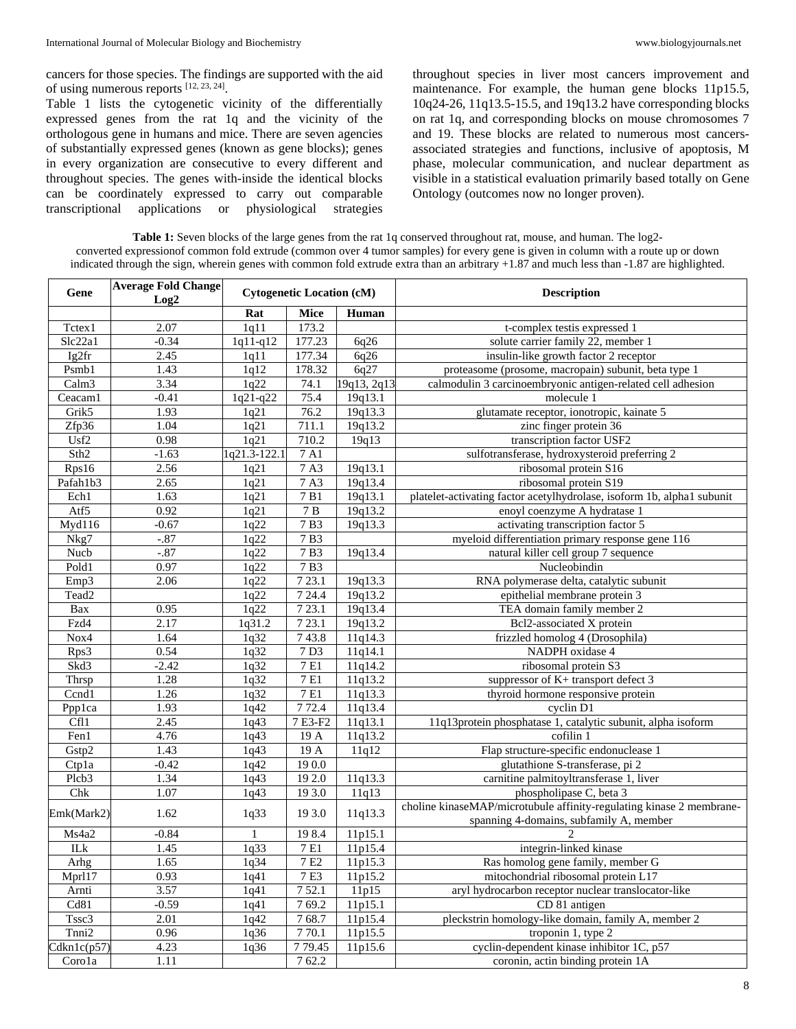cancers for those species. The findings are supported with the aid of using numerous reports [12, 23, 24].

Table 1 lists the cytogenetic vicinity of the differentially expressed genes from the rat 1q and the vicinity of the orthologous gene in humans and mice. There are seven agencies of substantially expressed genes (known as gene blocks); genes in every organization are consecutive to every different and throughout species. The genes with-inside the identical blocks can be coordinately expressed to carry out comparable transcriptional applications or physiological strategies throughout species in liver most cancers improvement and maintenance. For example, the human gene blocks 11p15.5, 10q24-26, 11q13.5-15.5, and 19q13.2 have corresponding blocks on rat 1q, and corresponding blocks on mouse chromosomes 7 and 19. These blocks are related to numerous most cancersassociated strategies and functions, inclusive of apoptosis, M phase, molecular communication, and nuclear department as visible in a statistical evaluation primarily based totally on Gene Ontology (outcomes now no longer proven).

**Table 1:** Seven blocks of the large genes from the rat 1q conserved throughout rat, mouse, and human. The log2 converted expressionof common fold extrude (common over 4 tumor samples) for every gene is given in column with a route up or down indicated through the sign, wherein genes with common fold extrude extra than an arbitrary +1.87 and much less than -1.87 are highlighted.

| Gene              | <b>Average Fold Change</b><br>Log2 | <b>Cytogenetic Location (cM)</b> |                              |             | <b>Description</b>                                                                                              |  |
|-------------------|------------------------------------|----------------------------------|------------------------------|-------------|-----------------------------------------------------------------------------------------------------------------|--|
|                   |                                    | Rat                              | Mice                         | Human       |                                                                                                                 |  |
| Tctex1            | 2.07                               | 1q11                             | 173.2                        |             | t-complex testis expressed 1                                                                                    |  |
| Slc22a1           | $-0.34$                            | 1q11-q12                         | 177.23                       | 6q26        | solute carrier family 22, member 1                                                                              |  |
| Ig2fr             | 2.45                               | 1q11                             | 177.34                       | 6q26        | insulin-like growth factor 2 receptor                                                                           |  |
| Psmb1             | 1.43                               | 1q12                             | 178.32                       | 6q27        | proteasome (prosome, macropain) subunit, beta type 1                                                            |  |
| Calm <sub>3</sub> | 3.34                               | 1q22                             | 74.1                         | 19q13, 2q13 | calmodulin 3 carcinoembryonic antigen-related cell adhesion                                                     |  |
| Ceacam1           | $-0.41$                            | 1q21-q22                         | 75.4                         | 19q13.1     | molecule 1                                                                                                      |  |
| Grik5             | 1.93                               | 1q21                             | 76.2                         | 19q13.3     | glutamate receptor, ionotropic, kainate 5                                                                       |  |
| Zfp36             | 1.04                               | 1q21                             | 711.1                        | 19q13.2     | zinc finger protein 36                                                                                          |  |
| Usf2              | 0.98                               | 1q21                             | 710.2                        | 19q13       | transcription factor USF2                                                                                       |  |
| Sth <sub>2</sub>  | $-1.63$                            | lq21.3-122.1                     | $7\ \mathrm{A}1$             |             | sulfotransferase, hydroxysteroid preferring 2                                                                   |  |
| Rps16             | 2.56                               | 1q21                             | 7A3                          | 19q13.1     | ribosomal protein S16                                                                                           |  |
| Pafah1b3          | 2.65                               | 1q21                             | 7A3                          | 19q13.4     | ribosomal protein S19                                                                                           |  |
| Ech1              | 1.63                               | 1q21                             | 7B1                          | 19q13.1     | platelet-activating factor acetylhydrolase, isoform 1b, alpha1 subunit                                          |  |
| Atf5              | 0.92                               | 1q21                             | $7\,\ensuremath{\mbox{\,B}}$ | 19q13.2     | enoyl coenzyme A hydratase 1                                                                                    |  |
| Myd116            | $-0.67$                            | 1q22                             | 7B3                          | 19q13.3     | activating transcription factor 5                                                                               |  |
| Nkg7              | $-.87$                             | 1q22                             | 7B3                          |             | myeloid differentiation primary response gene 116                                                               |  |
| Nucb              | $-.87$                             | 1q22                             | 7B3                          | 19q13.4     | natural killer cell group 7 sequence                                                                            |  |
| Pold1             | 0.97                               | 1q22                             | 7B3                          |             | Nucleobindin                                                                                                    |  |
| Emp3              | 2.06                               | 1q22                             | 7 23.1                       | 19q13.3     | RNA polymerase delta, catalytic subunit                                                                         |  |
| Tead <sub>2</sub> |                                    | 1q22                             | 7 24.4                       | 19q13.2     | epithelial membrane protein 3                                                                                   |  |
| Bax               | 0.95                               | 1q22                             | 7 23.1                       | 19q13.4     | TEA domain family member 2                                                                                      |  |
| Fzd4              | 2.17                               | 1q31.2                           | 7 23.1                       | 19q13.2     | Bcl2-associated X protein                                                                                       |  |
| Nox4              | 1.64                               | 1q32                             | 743.8                        | 11q14.3     | frizzled homolog 4 (Drosophila)                                                                                 |  |
| Rps3              | 0.54                               | 1q32                             | 7D3                          | 11q14.1     | NADPH oxidase 4                                                                                                 |  |
| Skd3              | $-2.42$                            | 1q32                             | 7 E1                         | 11q14.2     | ribosomal protein S3                                                                                            |  |
| Thrsp             | 1.28                               | 1q32                             | $7\,\mathrm{E}1$             | 11q13.2     | suppressor of K+ transport defect 3                                                                             |  |
| Ccnd1             | 1.26                               | 1q32                             | 7 E1                         | 11q13.3     | thyroid hormone responsive protein                                                                              |  |
| Ppplca            | 1.93                               | 1q42                             | 772.4                        | 11q13.4     | cyclin D1                                                                                                       |  |
| Cfl1              | 2.45                               | 1q43                             | 7E3-F2                       | 11q13.1     | 11q13protein phosphatase 1, catalytic subunit, alpha isoform                                                    |  |
| Fen1              | 4.76                               | 1q43                             | 19 A                         | 11q13.2     | cofilin 1                                                                                                       |  |
| Gstp2             | 1.43                               | 1q43                             | 19A                          | 11q12       | Flap structure-specific endonuclease 1                                                                          |  |
| Ctpla             | $-0.42$                            | 1q42                             | 190.0                        |             | glutathione S-transferase, pi 2                                                                                 |  |
| Plcb <sub>3</sub> | 1.34                               | 1q43                             | 19 2.0                       | 11q13.3     | carnitine palmitoyltransferase 1, liver                                                                         |  |
| Chk               | 1.07                               | 1q43                             | 19 3.0                       | 11q13       | phospholipase C, beta 3                                                                                         |  |
| Emk(Mark2)        | 1.62                               | 1q33                             | 19 3.0                       | 11q13.3     | choline kinaseMAP/microtubule affinity-regulating kinase 2 membrane-<br>spanning 4-domains, subfamily A, member |  |
| Ms4a2             | $-0.84$                            |                                  | 198.4                        | 11p15.1     |                                                                                                                 |  |
| ILk               | 1.45                               | 1q33                             | 7 E1                         | 11p15.4     | integrin-linked kinase                                                                                          |  |
| Arhg              | 1.65                               | 1q34                             | 7E <sub>2</sub>              | 11p15.3     | Ras homolog gene family, member G                                                                               |  |
| Mprl17            | 0.93                               | 1q41                             | $\overline{7}$ E3            | 11p15.2     | mitochondrial ribosomal protein L17                                                                             |  |
| Arnti             | 3.57                               | 1q41                             | 752.1                        | 11p15       | aryl hydrocarbon receptor nuclear translocator-like                                                             |  |
| Cd81              | $-0.59$                            | 1q41                             | 769.2                        | 11p15.1     | CD 81 antigen                                                                                                   |  |
| Tssc3             | 2.01                               | 1q42                             | 768.7                        | 11p15.4     | pleckstrin homology-like domain, family A, member 2                                                             |  |
| Tnni2             | 0.96                               | 1q36                             | 770.1                        | 11p15.5     | troponin 1, type 2                                                                                              |  |
| Cdkn1c(p57)       | 4.23                               | 1q36                             | 779.45                       | 11p15.6     | cyclin-dependent kinase inhibitor 1C, p57                                                                       |  |
| Corola            | 1.11                               |                                  | 762.2                        |             | coronin, actin binding protein 1A                                                                               |  |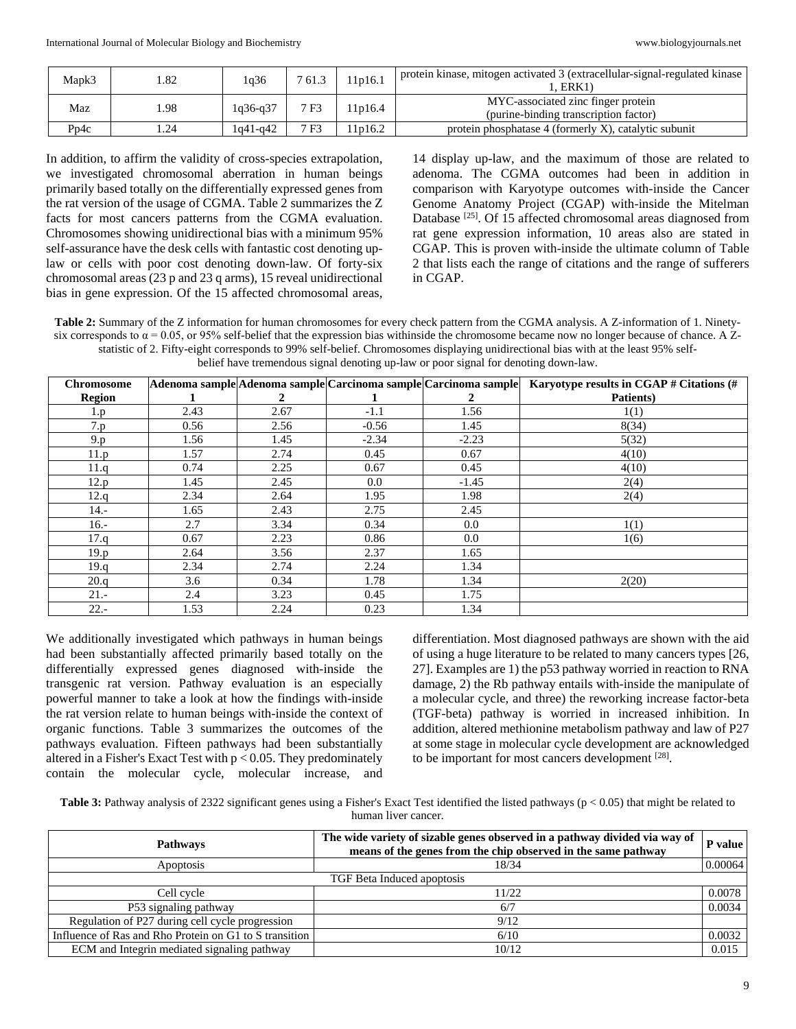| Mapk3 | 1.82   | 1q36       | 7 61.3 | 1p16.1 | protein kinase, mitogen activated 3 (extracellular-signal-regulated kinase<br>l. ERK1 |
|-------|--------|------------|--------|--------|---------------------------------------------------------------------------------------|
| Maz   | .98    | 1q36-q37   | 7 F3   | 1p16.4 | MYC-associated zinc finger protein<br>(purine-binding transcription factor)           |
| Pp4c  | . . 24 | $1q41-q42$ | 7 F3   | 1p16.2 | protein phosphatase 4 (formerly X), catalytic subunit                                 |

In addition, to affirm the validity of cross-species extrapolation, we investigated chromosomal aberration in human beings primarily based totally on the differentially expressed genes from the rat version of the usage of CGMA. Table 2 summarizes the Z facts for most cancers patterns from the CGMA evaluation. Chromosomes showing unidirectional bias with a minimum 95% self-assurance have the desk cells with fantastic cost denoting uplaw or cells with poor cost denoting down-law. Of forty-six chromosomal areas (23 p and 23 q arms), 15 reveal unidirectional bias in gene expression. Of the 15 affected chromosomal areas,

14 display up-law, and the maximum of those are related to adenoma. The CGMA outcomes had been in addition in comparison with Karyotype outcomes with-inside the Cancer Genome Anatomy Project (CGAP) with-inside the Mitelman Database<sup>[25]</sup>. Of 15 affected chromosomal areas diagnosed from rat gene expression information, 10 areas also are stated in CGAP. This is proven with-inside the ultimate column of Table 2 that lists each the range of citations and the range of sufferers in CGAP.

**Table 2:** Summary of the Z information for human chromosomes for every check pattern from the CGMA analysis. A Z-information of 1. Ninetysix corresponds to  $\alpha$  = 0.05, or 95% self-belief that the expression bias withinside the chromosome became now no longer because of chance. A Zstatistic of 2. Fifty-eight corresponds to 99% self-belief. Chromosomes displaying unidirectional bias with at the least 95% selfbelief have tremendous signal denoting up-law or poor signal for denoting down-law.

| <b>Chromosome</b> |      |      |         | Adenoma sample Adenoma sample Carcinoma sample Carcinoma sample | Karyotype results in CGAP # Citations (# |
|-------------------|------|------|---------|-----------------------------------------------------------------|------------------------------------------|
| <b>Region</b>     |      | 2    |         | 2                                                               | Patients)                                |
| 1.p               | 2.43 | 2.67 | $-1.1$  | 1.56                                                            | 1(1)                                     |
| 7.p               | 0.56 | 2.56 | $-0.56$ | 1.45                                                            | 8(34)                                    |
| 9.p               | 1.56 | 1.45 | $-2.34$ | $-2.23$                                                         | 5(32)                                    |
| 11.p              | 1.57 | 2.74 | 0.45    | 0.67                                                            | 4(10)                                    |
| 11.q              | 0.74 | 2.25 | 0.67    | 0.45                                                            | 4(10)                                    |
| 12.p              | 1.45 | 2.45 | $0.0\,$ | $-1.45$                                                         | 2(4)                                     |
| 12.q              | 2.34 | 2.64 | 1.95    | 1.98                                                            | 2(4)                                     |
| 14.-              | 1.65 | 2.43 | 2.75    | 2.45                                                            |                                          |
| $16. -$           | 2.7  | 3.34 | 0.34    | 0.0                                                             | 1(1)                                     |
| 17.q              | 0.67 | 2.23 | 0.86    | 0.0                                                             | 1(6)                                     |
| 19.p              | 2.64 | 3.56 | 2.37    | 1.65                                                            |                                          |
| 19.q              | 2.34 | 2.74 | 2.24    | 1.34                                                            |                                          |
| 20.q              | 3.6  | 0.34 | 1.78    | 1.34                                                            | 2(20)                                    |
| $21 -$            | 2.4  | 3.23 | 0.45    | 1.75                                                            |                                          |
| $22 -$            | 1.53 | 2.24 | 0.23    | 1.34                                                            |                                          |

We additionally investigated which pathways in human beings had been substantially affected primarily based totally on the differentially expressed genes diagnosed with-inside the transgenic rat version. Pathway evaluation is an especially powerful manner to take a look at how the findings with-inside the rat version relate to human beings with-inside the context of organic functions. Table 3 summarizes the outcomes of the pathways evaluation. Fifteen pathways had been substantially altered in a Fisher's Exact Test with  $p < 0.05$ . They predominately contain the molecular cycle, molecular increase, and

differentiation. Most diagnosed pathways are shown with the aid of using a huge literature to be related to many cancers types [26, 27]. Examples are 1) the p53 pathway worried in reaction to RNA damage, 2) the Rb pathway entails with-inside the manipulate of a molecular cycle, and three) the reworking increase factor-beta (TGF-beta) pathway is worried in increased inhibition. In addition, altered methionine metabolism pathway and law of P27 at some stage in molecular cycle development are acknowledged to be important for most cancers development [28].

**Table 3:** Pathway analysis of 2322 significant genes using a Fisher's Exact Test identified the listed pathways ( $p < 0.05$ ) that might be related to human liver cancer.

| <b>Pathways</b>                                        | The wide variety of sizable genes observed in a pathway divided via way of<br>P value<br>means of the genes from the chip observed in the same pathway |         |  |  |
|--------------------------------------------------------|--------------------------------------------------------------------------------------------------------------------------------------------------------|---------|--|--|
| <i>Apoptosis</i>                                       | 18/34                                                                                                                                                  | 0.00064 |  |  |
| TGF Beta Induced apoptosis                             |                                                                                                                                                        |         |  |  |
| Cell cycle                                             | 11/22                                                                                                                                                  | 0.0078  |  |  |
| P53 signaling pathway                                  | 6/7                                                                                                                                                    | 0.0034  |  |  |
| Regulation of P27 during cell cycle progression        | 9/12                                                                                                                                                   |         |  |  |
| Influence of Ras and Rho Protein on G1 to S transition | 6/10                                                                                                                                                   | 0.0032  |  |  |
| ECM and Integrin mediated signaling pathway            | 10/12                                                                                                                                                  | 0.015   |  |  |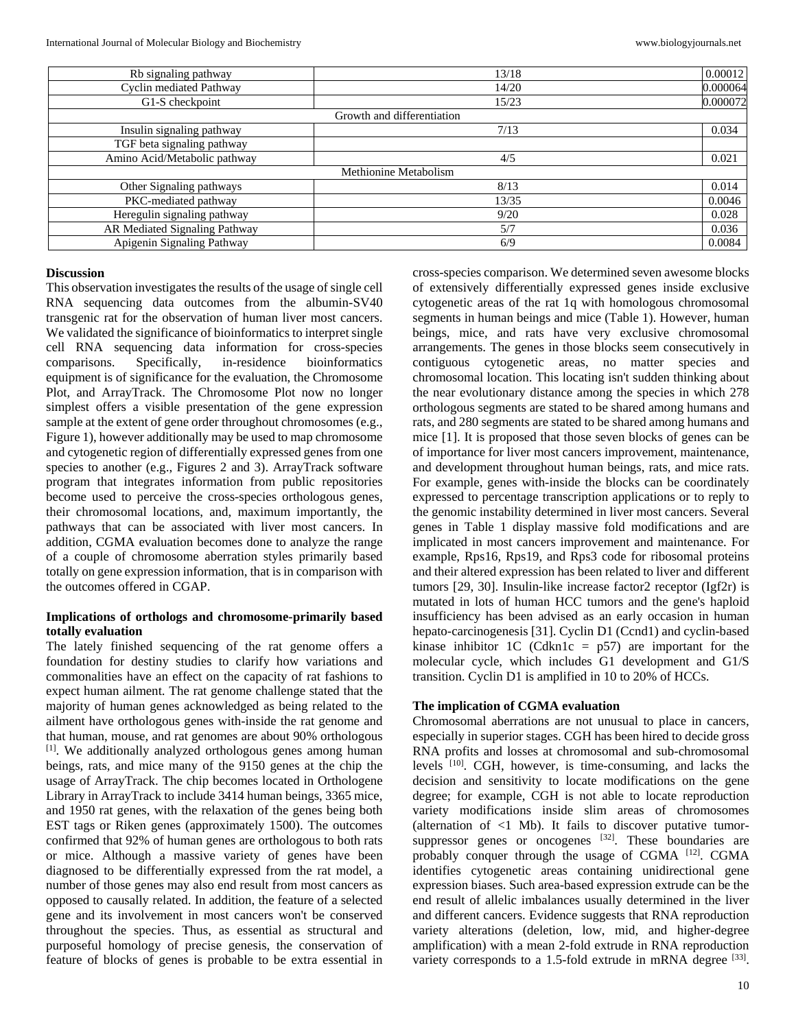| Rb signaling pathway                 | 13/18                      | 0.00012  |
|--------------------------------------|----------------------------|----------|
| Cyclin mediated Pathway              | 14/20                      | 0.000064 |
| G1-S checkpoint                      | 15/23                      | 0.000072 |
|                                      | Growth and differentiation |          |
| Insulin signaling pathway            | 7/13                       | 0.034    |
| TGF beta signaling pathway           |                            |          |
| Amino Acid/Metabolic pathway         | 4/5                        | 0.021    |
|                                      | Methionine Metabolism      |          |
| Other Signaling pathways             | 8/13                       | 0.014    |
| PKC-mediated pathway                 | 13/35                      | 0.0046   |
| Heregulin signaling pathway          | 9/20                       | 0.028    |
| <b>AR Mediated Signaling Pathway</b> | 5/7                        | 0.036    |
| Apigenin Signaling Pathway           | 6/9                        | 0.0084   |

#### **Discussion**

This observation investigates the results of the usage of single cell RNA sequencing data outcomes from the albumin-SV40 transgenic rat for the observation of human liver most cancers. We validated the significance of bioinformatics to interpret single cell RNA sequencing data information for cross-species comparisons. Specifically, in-residence bioinformatics equipment is of significance for the evaluation, the Chromosome Plot, and ArrayTrack. The Chromosome Plot now no longer simplest offers a visible presentation of the gene expression sample at the extent of gene order throughout chromosomes (e.g., Figure 1), however additionally may be used to map chromosome and cytogenetic region of differentially expressed genes from one species to another (e.g., Figures 2 and 3). ArrayTrack software program that integrates information from public repositories become used to perceive the cross-species orthologous genes, their chromosomal locations, and, maximum importantly, the pathways that can be associated with liver most cancers. In addition, CGMA evaluation becomes done to analyze the range of a couple of chromosome aberration styles primarily based totally on gene expression information, that is in comparison with the outcomes offered in CGAP.

## **Implications of orthologs and chromosome-primarily based totally evaluation**

The lately finished sequencing of the rat genome offers a foundation for destiny studies to clarify how variations and commonalities have an effect on the capacity of rat fashions to expect human ailment. The rat genome challenge stated that the majority of human genes acknowledged as being related to the ailment have orthologous genes with-inside the rat genome and that human, mouse, and rat genomes are about 90% orthologous [1]. We additionally analyzed orthologous genes among human beings, rats, and mice many of the 9150 genes at the chip the usage of ArrayTrack. The chip becomes located in Orthologene Library in ArrayTrack to include 3414 human beings, 3365 mice, and 1950 rat genes, with the relaxation of the genes being both EST tags or Riken genes (approximately 1500). The outcomes confirmed that 92% of human genes are orthologous to both rats or mice. Although a massive variety of genes have been diagnosed to be differentially expressed from the rat model, a number of those genes may also end result from most cancers as opposed to causally related. In addition, the feature of a selected gene and its involvement in most cancers won't be conserved throughout the species. Thus, as essential as structural and purposeful homology of precise genesis, the conservation of feature of blocks of genes is probable to be extra essential in

cross-species comparison. We determined seven awesome blocks of extensively differentially expressed genes inside exclusive cytogenetic areas of the rat 1q with homologous chromosomal segments in human beings and mice (Table 1). However, human beings, mice, and rats have very exclusive chromosomal arrangements. The genes in those blocks seem consecutively in contiguous cytogenetic areas, no matter species and chromosomal location. This locating isn't sudden thinking about the near evolutionary distance among the species in which 278 orthologous segments are stated to be shared among humans and rats, and 280 segments are stated to be shared among humans and mice [1]. It is proposed that those seven blocks of genes can be of importance for liver most cancers improvement, maintenance, and development throughout human beings, rats, and mice rats. For example, genes with-inside the blocks can be coordinately expressed to percentage transcription applications or to reply to the genomic instability determined in liver most cancers. Several genes in Table 1 display massive fold modifications and are implicated in most cancers improvement and maintenance. For example, Rps16, Rps19, and Rps3 code for ribosomal proteins and their altered expression has been related to liver and different tumors [29, 30]. Insulin-like increase factor2 receptor (Igf2r) is mutated in lots of human HCC tumors and the gene's haploid insufficiency has been advised as an early occasion in human hepato-carcinogenesis [31]. Cyclin D1 (Ccnd1) and cyclin-based kinase inhibitor 1C (Cdkn1c =  $p57$ ) are important for the molecular cycle, which includes G1 development and G1/S transition. Cyclin D1 is amplified in 10 to 20% of HCCs.

### **The implication of CGMA evaluation**

Chromosomal aberrations are not unusual to place in cancers, especially in superior stages. CGH has been hired to decide gross RNA profits and losses at chromosomal and sub-chromosomal levels [10]. CGH, however, is time-consuming, and lacks the decision and sensitivity to locate modifications on the gene degree; for example, CGH is not able to locate reproduction variety modifications inside slim areas of chromosomes (alternation of  $\langle 1 \text{ Mb} \rangle$ . It fails to discover putative tumorsuppressor genes or oncogenes <sup>[32]</sup>. These boundaries are probably conquer through the usage of CGMA [12]. CGMA identifies cytogenetic areas containing unidirectional gene expression biases. Such area-based expression extrude can be the end result of allelic imbalances usually determined in the liver and different cancers. Evidence suggests that RNA reproduction variety alterations (deletion, low, mid, and higher-degree amplification) with a mean 2-fold extrude in RNA reproduction variety corresponds to a 1.5-fold extrude in mRNA degree [33].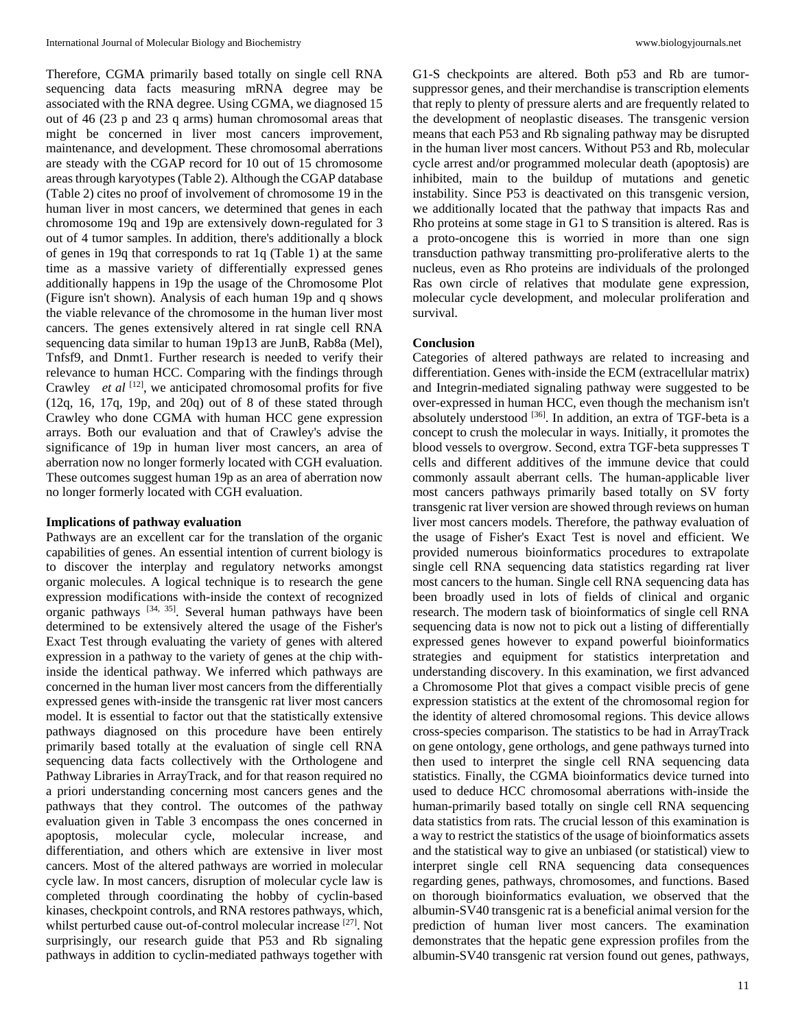Therefore, CGMA primarily based totally on single cell RNA sequencing data facts measuring mRNA degree may be associated with the RNA degree. Using CGMA, we diagnosed 15 out of 46 (23 p and 23 q arms) human chromosomal areas that might be concerned in liver most cancers improvement, maintenance, and development. These chromosomal aberrations are steady with the CGAP record for 10 out of 15 chromosome areas through karyotypes (Table 2). Although the CGAP database (Table 2) cites no proof of involvement of chromosome 19 in the human liver in most cancers, we determined that genes in each chromosome 19q and 19p are extensively down-regulated for 3 out of 4 tumor samples. In addition, there's additionally a block of genes in 19q that corresponds to rat 1q (Table 1) at the same time as a massive variety of differentially expressed genes additionally happens in 19p the usage of the Chromosome Plot (Figure isn't shown). Analysis of each human 19p and q shows the viable relevance of the chromosome in the human liver most cancers. The genes extensively altered in rat single cell RNA sequencing data similar to human 19p13 are JunB, Rab8a (Mel), Tnfsf9, and Dnmt1. Further research is needed to verify their relevance to human HCC. Comparing with the findings through Crawley *et al* <sup>[12]</sup>, we anticipated chromosomal profits for five (12q, 16, 17q, 19p, and 20q) out of 8 of these stated through Crawley who done CGMA with human HCC gene expression arrays. Both our evaluation and that of Crawley's advise the significance of 19p in human liver most cancers, an area of aberration now no longer formerly located with CGH evaluation. These outcomes suggest human 19p as an area of aberration now no longer formerly located with CGH evaluation.

### **Implications of pathway evaluation**

Pathways are an excellent car for the translation of the organic capabilities of genes. An essential intention of current biology is to discover the interplay and regulatory networks amongst organic molecules. A logical technique is to research the gene expression modifications with-inside the context of recognized organic pathways [34, 35]. Several human pathways have been determined to be extensively altered the usage of the Fisher's Exact Test through evaluating the variety of genes with altered expression in a pathway to the variety of genes at the chip withinside the identical pathway. We inferred which pathways are concerned in the human liver most cancers from the differentially expressed genes with-inside the transgenic rat liver most cancers model. It is essential to factor out that the statistically extensive pathways diagnosed on this procedure have been entirely primarily based totally at the evaluation of single cell RNA sequencing data facts collectively with the Orthologene and Pathway Libraries in ArrayTrack, and for that reason required no a priori understanding concerning most cancers genes and the pathways that they control. The outcomes of the pathway evaluation given in Table 3 encompass the ones concerned in apoptosis, molecular cycle, molecular increase, and differentiation, and others which are extensive in liver most cancers. Most of the altered pathways are worried in molecular cycle law. In most cancers, disruption of molecular cycle law is completed through coordinating the hobby of cyclin-based kinases, checkpoint controls, and RNA restores pathways, which, whilst perturbed cause out-of-control molecular increase <sup>[27]</sup>. Not surprisingly, our research guide that P53 and Rb signaling pathways in addition to cyclin-mediated pathways together with

G1-S checkpoints are altered. Both p53 and Rb are tumorsuppressor genes, and their merchandise is transcription elements that reply to plenty of pressure alerts and are frequently related to the development of neoplastic diseases. The transgenic version means that each P53 and Rb signaling pathway may be disrupted in the human liver most cancers. Without P53 and Rb, molecular cycle arrest and/or programmed molecular death (apoptosis) are inhibited, main to the buildup of mutations and genetic instability. Since P53 is deactivated on this transgenic version, we additionally located that the pathway that impacts Ras and Rho proteins at some stage in G1 to S transition is altered. Ras is a proto-oncogene this is worried in more than one sign transduction pathway transmitting pro-proliferative alerts to the nucleus, even as Rho proteins are individuals of the prolonged Ras own circle of relatives that modulate gene expression, molecular cycle development, and molecular proliferation and survival.

## **Conclusion**

Categories of altered pathways are related to increasing and differentiation. Genes with-inside the ECM (extracellular matrix) and Integrin-mediated signaling pathway were suggested to be over-expressed in human HCC, even though the mechanism isn't absolutely understood [36]. In addition, an extra of TGF-beta is a concept to crush the molecular in ways. Initially, it promotes the blood vessels to overgrow. Second, extra TGF-beta suppresses T cells and different additives of the immune device that could commonly assault aberrant cells. The human-applicable liver most cancers pathways primarily based totally on SV forty transgenic rat liver version are showed through reviews on human liver most cancers models. Therefore, the pathway evaluation of the usage of Fisher's Exact Test is novel and efficient. We provided numerous bioinformatics procedures to extrapolate single cell RNA sequencing data statistics regarding rat liver most cancers to the human. Single cell RNA sequencing data has been broadly used in lots of fields of clinical and organic research. The modern task of bioinformatics of single cell RNA sequencing data is now not to pick out a listing of differentially expressed genes however to expand powerful bioinformatics strategies and equipment for statistics interpretation and understanding discovery. In this examination, we first advanced a Chromosome Plot that gives a compact visible precis of gene expression statistics at the extent of the chromosomal region for the identity of altered chromosomal regions. This device allows cross-species comparison. The statistics to be had in ArrayTrack on gene ontology, gene orthologs, and gene pathways turned into then used to interpret the single cell RNA sequencing data statistics. Finally, the CGMA bioinformatics device turned into used to deduce HCC chromosomal aberrations with-inside the human-primarily based totally on single cell RNA sequencing data statistics from rats. The crucial lesson of this examination is a way to restrict the statistics of the usage of bioinformatics assets and the statistical way to give an unbiased (or statistical) view to interpret single cell RNA sequencing data consequences regarding genes, pathways, chromosomes, and functions. Based on thorough bioinformatics evaluation, we observed that the albumin-SV40 transgenic rat is a beneficial animal version for the prediction of human liver most cancers. The examination demonstrates that the hepatic gene expression profiles from the albumin-SV40 transgenic rat version found out genes, pathways,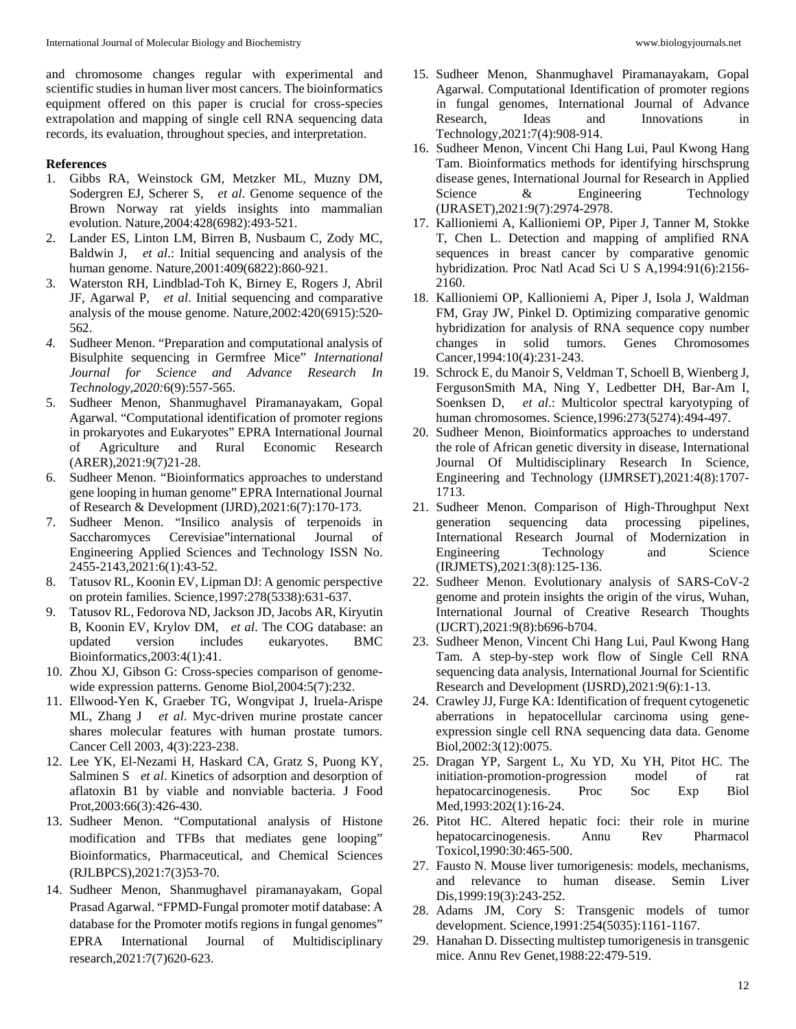and chromosome changes regular with experimental and scientific studies in human liver most cancers. The bioinformatics equipment offered on this paper is crucial for cross-species extrapolation and mapping of single cell RNA sequencing data records, its evaluation, throughout species, and interpretation.

## **References**

- 1. Gibbs RA, Weinstock GM, Metzker ML, Muzny DM, Sodergren EJ, Scherer S, *et al*. Genome sequence of the Brown Norway rat yields insights into mammalian evolution. Nature,2004:428(6982):493-521.
- 2. Lander ES, Linton LM, Birren B, Nusbaum C, Zody MC, Baldwin J, *et al*.: Initial sequencing and analysis of the human genome. Nature,2001:409(6822):860-921.
- 3. Waterston RH, Lindblad-Toh K, Birney E, Rogers J, Abril JF, Agarwal P, *et al*. Initial sequencing and comparative analysis of the mouse genome. Nature,2002:420(6915):520- 562.
- *4.* Sudheer Menon. "Preparation and computational analysis of Bisulphite sequencing in Germfree Mice" *International Journal for Science and Advance Research In Technology,2020:*6(9):557-565.
- 5. Sudheer Menon, Shanmughavel Piramanayakam, Gopal Agarwal. "Computational identification of promoter regions in prokaryotes and Eukaryotes" EPRA International Journal of Agriculture and Rural Economic Research (ARER),2021:9(7)21-28.
- 6. Sudheer Menon. "Bioinformatics approaches to understand gene looping in human genome" EPRA International Journal of Research & Development (IJRD),2021:6(7):170-173.
- 7. Sudheer Menon. "Insilico analysis of terpenoids in Saccharomyces Cerevisiae"international Journal of Engineering Applied Sciences and Technology ISSN No. 2455-2143,2021:6(1):43-52.
- 8. Tatusov RL, Koonin EV, Lipman DJ: A genomic perspective on protein families. Science,1997:278(5338):631-637.
- 9. Tatusov RL, Fedorova ND, Jackson JD, Jacobs AR, Kiryutin B, Koonin EV, Krylov DM, *et al*. The COG database: an updated version includes eukaryotes. BMC Bioinformatics,2003:4(1):41.
- 10. Zhou XJ, Gibson G: Cross-species comparison of genomewide expression patterns. Genome Biol,2004:5(7):232.
- 11. Ellwood-Yen K, Graeber TG, Wongvipat J, Iruela-Arispe ML, Zhang J *et al*. Myc-driven murine prostate cancer shares molecular features with human prostate tumors. Cancer Cell 2003, 4(3):223-238.
- 12. Lee YK, El-Nezami H, Haskard CA, Gratz S, Puong KY, Salminen S *et al*. Kinetics of adsorption and desorption of aflatoxin B1 by viable and nonviable bacteria. J Food Prot,2003:66(3):426-430.
- 13. Sudheer Menon. "Computational analysis of Histone modification and TFBs that mediates gene looping" Bioinformatics, Pharmaceutical, and Chemical Sciences (RJLBPCS),2021:7(3)53-70.
- 14. Sudheer Menon, Shanmughavel piramanayakam, Gopal Prasad Agarwal. "FPMD-Fungal promoter motif database: A database for the Promoter motifs regions in fungal genomes" EPRA International Journal of Multidisciplinary research,2021:7(7)620-623.
- 15. Sudheer Menon, Shanmughavel Piramanayakam, Gopal Agarwal. Computational Identification of promoter regions in fungal genomes, International Journal of Advance Research, Ideas and Innovations in Technology,2021:7(4):908-914.
- 16. Sudheer Menon, Vincent Chi Hang Lui, Paul Kwong Hang Tam. Bioinformatics methods for identifying hirschsprung disease genes, International Journal for Research in Applied Science & Engineering Technology (IJRASET),2021:9(7):2974-2978.
- 17. Kallioniemi A, Kallioniemi OP, Piper J, Tanner M, Stokke T, Chen L. Detection and mapping of amplified RNA sequences in breast cancer by comparative genomic hybridization. Proc Natl Acad Sci U S A,1994:91(6):2156- 2160.
- 18. Kallioniemi OP, Kallioniemi A, Piper J, Isola J, Waldman FM, Gray JW, Pinkel D. Optimizing comparative genomic hybridization for analysis of RNA sequence copy number changes in solid tumors. Genes Chromosomes Cancer,1994:10(4):231-243.
- 19. Schrock E, du Manoir S, Veldman T, Schoell B, Wienberg J, FergusonSmith MA, Ning Y, Ledbetter DH, Bar-Am I, Soenksen D, *et al*.: Multicolor spectral karyotyping of human chromosomes. Science,1996:273(5274):494-497.
- 20. Sudheer Menon, Bioinformatics approaches to understand the role of African genetic diversity in disease, International Journal Of Multidisciplinary Research In Science, Engineering and Technology (IJMRSET),2021:4(8):1707- 1713.
- 21. Sudheer Menon. Comparison of High-Throughput Next generation sequencing data processing pipelines, International Research Journal of Modernization in Engineering Technology and Science (IRJMETS),2021:3(8):125-136.
- 22. Sudheer Menon. Evolutionary analysis of SARS-CoV-2 genome and protein insights the origin of the virus, Wuhan, International Journal of Creative Research Thoughts (IJCRT),2021:9(8):b696-b704.
- 23. Sudheer Menon, Vincent Chi Hang Lui, Paul Kwong Hang Tam. A step-by-step work flow of Single Cell RNA sequencing data analysis, International Journal for Scientific Research and Development (IJSRD),2021:9(6):1-13.
- 24. Crawley JJ, Furge KA: Identification of frequent cytogenetic aberrations in hepatocellular carcinoma using geneexpression single cell RNA sequencing data data. Genome Biol,2002:3(12):0075.
- 25. Dragan YP, Sargent L, Xu YD, Xu YH, Pitot HC. The initiation-promotion-progression model of rat hepatocarcinogenesis. Proc Soc Exp Biol Med,1993:202(1):16-24.
- 26. Pitot HC. Altered hepatic foci: their role in murine hepatocarcinogenesis. Annu Rev Pharmacol Toxicol,1990:30:465-500.
- 27. Fausto N. Mouse liver tumorigenesis: models, mechanisms, and relevance to human disease. Semin Liver Dis,1999:19(3):243-252.
- 28. Adams JM, Cory S: Transgenic models of tumor development. Science,1991:254(5035):1161-1167.
- 29. Hanahan D. Dissecting multistep tumorigenesis in transgenic mice. Annu Rev Genet,1988:22:479-519.